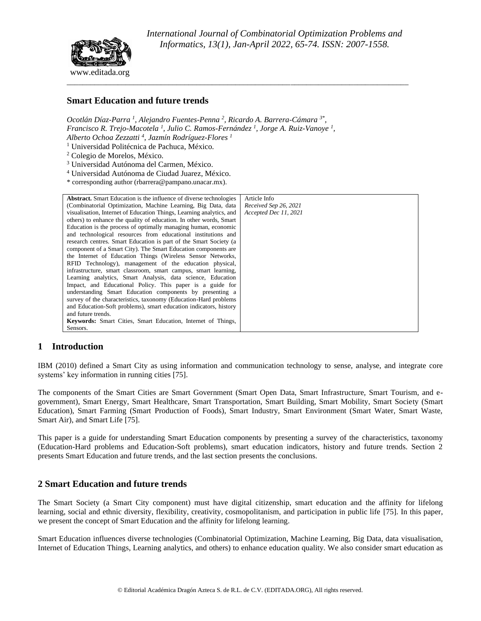

# **Smart Education and future trends**

Ocotlán Díaz-Parra<sup>1</sup>, Alejandro Fuentes-Penna<sup>2</sup>, Ricardo A. Barrera-Cámara<sup>3\*</sup>, *Francisco R. Trejo-Macotela <sup>1</sup> , Julio C. Ramos-Fernández <sup>1</sup> , Jorge A. Ruiz-Vanoye <sup>1</sup> , Alberto Ochoa Zezzatti <sup>4</sup> , Jazmín Rodríguez-Flores <sup>1</sup>*

<sup>1</sup> Universidad Politécnica de Pachuca, México.

<sup>2</sup> Colegio de Morelos, México.

<sup>3</sup> Universidad Autónoma del Carmen, México.

<sup>4</sup> Universidad Autónoma de Ciudad Juarez, México.

\* corresponding author (rbarrera@pampano.unacar.mx).

| <b>Abstract.</b> Smart Education is the influence of diverse technologies | Article Info          |
|---------------------------------------------------------------------------|-----------------------|
| (Combinatorial Optimization, Machine Learning, Big Data, data             | Received Sep 26, 2021 |
| visualisation, Internet of Education Things, Learning analytics, and      | Accepted Dec 11, 2021 |
| others) to enhance the quality of education. In other words, Smart        |                       |
| Education is the process of optimally managing human, economic            |                       |
| and technological resources from educational institutions and             |                       |
| research centres. Smart Education is part of the Smart Society (a         |                       |
| component of a Smart City). The Smart Education components are            |                       |
| the Internet of Education Things (Wireless Sensor Networks,               |                       |
| RFID Technology), management of the education physical,                   |                       |
| infrastructure, smart classroom, smart campus, smart learning,            |                       |
| Learning analytics, Smart Analysis, data science, Education               |                       |
| Impact, and Educational Policy. This paper is a guide for                 |                       |
| understanding Smart Education components by presenting a                  |                       |
| survey of the characteristics, taxonomy (Education-Hard problems)         |                       |
| and Education-Soft problems), smart education indicators, history         |                       |
| and future trends.                                                        |                       |
| <b>Keywords:</b> Smart Cities, Smart Education, Internet of Things,       |                       |
| Sensors.                                                                  |                       |

### **1 Introduction**

IBM (2010) defined a Smart City as using information and communication technology to sense, analyse, and integrate core systems' key information in running cities [75].

The components of the Smart Cities are Smart Government (Smart Open Data, Smart Infrastructure, Smart Tourism, and egovernment), Smart Energy, Smart Healthcare, Smart Transportation, Smart Building, Smart Mobility, Smart Society (Smart Education), Smart Farming (Smart Production of Foods), Smart Industry, Smart Environment (Smart Water, Smart Waste, Smart Air), and Smart Life [75].

This paper is a guide for understanding Smart Education components by presenting a survey of the characteristics, taxonomy (Education-Hard problems and Education-Soft problems), smart education indicators, history and future trends. Section 2 presents Smart Education and future trends, and the last section presents the conclusions.

## **2 Smart Education and future trends**

The Smart Society (a Smart City component) must have digital citizenship, smart education and the affinity for lifelong learning, social and ethnic diversity, flexibility, creativity, cosmopolitanism, and participation in public life [75]. In this paper, we present the concept of Smart Education and the affinity for lifelong learning.

Smart Education influences diverse technologies (Combinatorial Optimization, Machine Learning, Big Data, data visualisation, Internet of Education Things, Learning analytics, and others) to enhance education quality. We also consider smart education as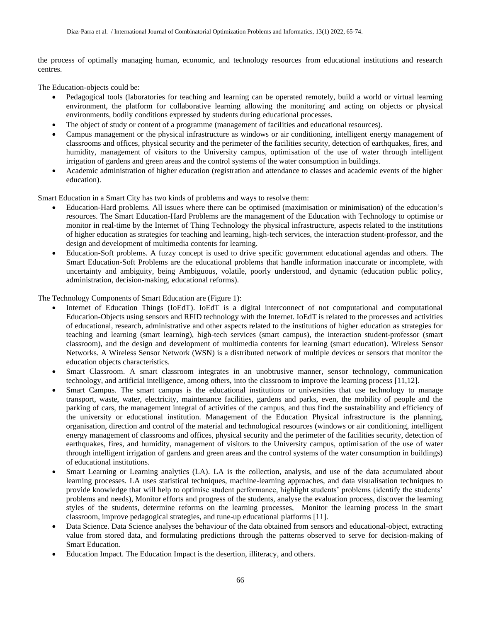the process of optimally managing human, economic, and technology resources from educational institutions and research centres.

The Education-objects could be:

- Pedagogical tools (laboratories for teaching and learning can be operated remotely, build a world or virtual learning environment, the platform for collaborative learning allowing the monitoring and acting on objects or physical environments, bodily conditions expressed by students during educational processes.
- The object of study or content of a programme (management of facilities and educational resources).
- Campus management or the physical infrastructure as windows or air conditioning, intelligent energy management of classrooms and offices, physical security and the perimeter of the facilities security, detection of earthquakes, fires, and humidity, management of visitors to the University campus, optimisation of the use of water through intelligent irrigation of gardens and green areas and the control systems of the water consumption in buildings.
- Academic administration of higher education (registration and attendance to classes and academic events of the higher education).

Smart Education in a Smart City has two kinds of problems and ways to resolve them:

- Education-Hard problems. All issues where there can be optimised (maximisation or minimisation) of the education's resources. The Smart Education-Hard Problems are the management of the Education with Technology to optimise or monitor in real-time by the Internet of Thing Technology the physical infrastructure, aspects related to the institutions of higher education as strategies for teaching and learning, high-tech services, the interaction student-professor, and the design and development of multimedia contents for learning.
- Education-Soft problems. A fuzzy concept is used to drive specific government educational agendas and others. The Smart Education-Soft Problems are the educational problems that handle information inaccurate or incomplete, with uncertainty and ambiguity, being Ambiguous, volatile, poorly understood, and dynamic (education public policy, administration, decision-making, educational reforms).

The Technology Components of Smart Education are (Figure 1):

- Internet of Education Things (IoEdT). IoEdT is a digital interconnect of not computational and computational Education-Objects using sensors and RFID technology with the Internet. IoEdT is related to the processes and activities of educational, research, administrative and other aspects related to the institutions of higher education as strategies for teaching and learning (smart learning), high-tech services (smart campus), the interaction student-professor (smart classroom), and the design and development of multimedia contents for learning (smart education). Wireless Sensor Networks. A Wireless Sensor Network (WSN) is a distributed network of multiple devices or sensors that monitor the education objects characteristics.
- Smart Classroom. A smart classroom integrates in an unobtrusive manner, sensor technology, communication technology, and artificial intelligence, among others, into the classroom to improve the learning process [11,12].
- Smart Campus. The smart campus is the educational institutions or universities that use technology to manage transport, waste, water, electricity, maintenance facilities, gardens and parks, even, the mobility of people and the parking of cars, the management integral of activities of the campus, and thus find the sustainability and efficiency of the university or educational institution. Management of the Education Physical infrastructure is the planning, organisation, direction and control of the material and technological resources (windows or air conditioning, intelligent energy management of classrooms and offices, physical security and the perimeter of the facilities security, detection of earthquakes, fires, and humidity, management of visitors to the University campus, optimisation of the use of water through intelligent irrigation of gardens and green areas and the control systems of the water consumption in buildings) of educational institutions.
- Smart Learning or Learning analytics (LA). LA is the collection, analysis, and use of the data accumulated about learning processes. LA uses statistical techniques, machine-learning approaches, and data visualisation techniques to provide knowledge that will help to optimise student performance, highlight students' problems (identify the students' problems and needs), Monitor efforts and progress of the students, analyse the evaluation process, discover the learning styles of the students, determine reforms on the learning processes, Monitor the learning process in the smart classroom, improve pedagogical strategies, and tune-up educational platforms [11].
- Data Science. Data Science analyses the behaviour of the data obtained from sensors and educational-object, extracting value from stored data, and formulating predictions through the patterns observed to serve for decision-making of Smart Education.
- Education Impact. The Education Impact is the desertion, illiteracy, and others.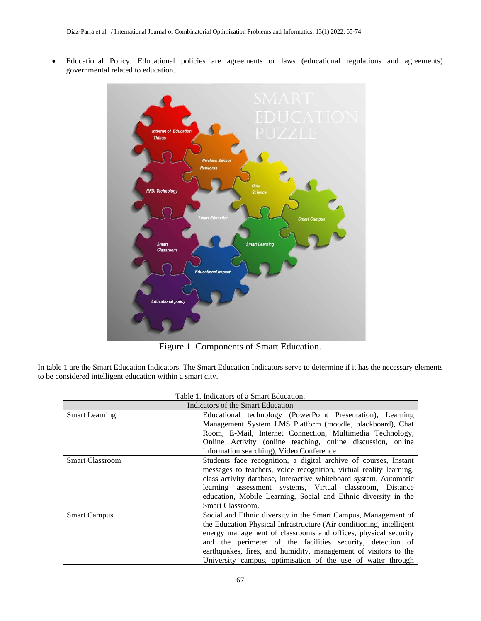• Educational Policy. Educational policies are agreements or laws (educational regulations and agreements) governmental related to education.



Figure 1. Components of Smart Education.

In table 1 are the Smart Education Indicators. The Smart Education Indicators serve to determine if it has the necessary elements to be considered intelligent education within a smart city.

| Table 1. Indicators of a Smart Education. |                                                                      |  |
|-------------------------------------------|----------------------------------------------------------------------|--|
| Indicators of the Smart Education         |                                                                      |  |
| <b>Smart Learning</b>                     | Educational technology (PowerPoint Presentation), Learning           |  |
|                                           | Management System LMS Platform (moodle, blackboard), Chat            |  |
|                                           | Room, E-Mail, Internet Connection, Multimedia Technology,            |  |
|                                           | Online Activity (online teaching, online discussion, online          |  |
|                                           | information searching), Video Conference.                            |  |
| <b>Smart Classroom</b>                    | Students face recognition, a digital archive of courses, Instant     |  |
|                                           | messages to teachers, voice recognition, virtual reality learning,   |  |
|                                           | class activity database, interactive whiteboard system, Automatic    |  |
|                                           | learning assessment systems, Virtual classroom, Distance             |  |
|                                           | education, Mobile Learning, Social and Ethnic diversity in the       |  |
|                                           | <b>Smart Classroom.</b>                                              |  |
| <b>Smart Campus</b>                       | Social and Ethnic diversity in the Smart Campus, Management of       |  |
|                                           | the Education Physical Infrastructure (Air conditioning, intelligent |  |
|                                           | energy management of classrooms and offices, physical security       |  |
|                                           | and the perimeter of the facilities security, detection of           |  |
|                                           | earthquakes, fires, and humidity, management of visitors to the      |  |
|                                           | University campus, optimisation of the use of water through          |  |

| Table 1. Indicators of a Smart Education. |  |
|-------------------------------------------|--|
|-------------------------------------------|--|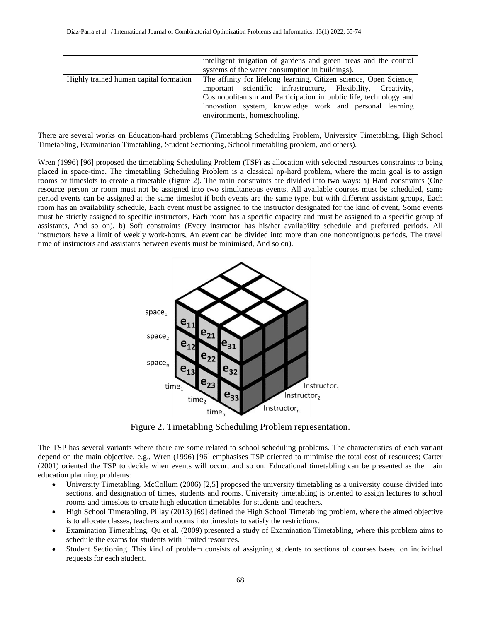|                                        | intelligent irrigation of gardens and green areas and the control<br>systems of the water consumption in buildings).                                                                                                                                                                               |
|----------------------------------------|----------------------------------------------------------------------------------------------------------------------------------------------------------------------------------------------------------------------------------------------------------------------------------------------------|
| Highly trained human capital formation | The affinity for lifelong learning, Citizen science, Open Science,<br>important scientific infrastructure, Flexibility, Creativity,<br>Cosmopolitanism and Participation in public life, technology and<br>innovation system, knowledge work and personal learning<br>environments, homeschooling. |

There are several works on Education-hard problems (Timetabling Scheduling Problem, University Timetabling, High School Timetabling, Examination Timetabling, Student Sectioning, School timetabling problem, and others).

Wren (1996) [96] proposed the timetabling Scheduling Problem (TSP) as allocation with selected resources constraints to being placed in space-time. The timetabling Scheduling Problem is a classical np-hard problem, where the main goal is to assign rooms or timeslots to create a timetable (figure 2). The main constraints are divided into two ways: a) Hard constraints (One resource person or room must not be assigned into two simultaneous events, All available courses must be scheduled, same period events can be assigned at the same timeslot if both events are the same type, but with different assistant groups, Each room has an availability schedule, Each event must be assigned to the instructor designated for the kind of event, Some events must be strictly assigned to specific instructors, Each room has a specific capacity and must be assigned to a specific group of assistants, And so on), b) Soft constraints (Every instructor has his/her availability schedule and preferred periods, All instructors have a limit of weekly work-hours, An event can be divided into more than one noncontiguous periods, The travel time of instructors and assistants between events must be minimised, And so on).



Figure 2. Timetabling Scheduling Problem representation.

The TSP has several variants where there are some related to school scheduling problems. The characteristics of each variant depend on the main objective, e.g., Wren (1996) [96] emphasises TSP oriented to minimise the total cost of resources; Carter (2001) oriented the TSP to decide when events will occur, and so on. Educational timetabling can be presented as the main education planning problems:

- University Timetabling. McCollum (2006) [2,5] proposed the university timetabling as a university course divided into sections, and designation of times, students and rooms. University timetabling is oriented to assign lectures to school rooms and timeslots to create high education timetables for students and teachers.
- High School Timetabling. Pillay (2013) [69] defined the High School Timetabling problem, where the aimed objective is to allocate classes, teachers and rooms into timeslots to satisfy the restrictions.
- Examination Timetabling. Qu et al. (2009) presented a study of Examination Timetabling, where this problem aims to schedule the exams for students with limited resources.
- Student Sectioning. This kind of problem consists of assigning students to sections of courses based on individual requests for each student.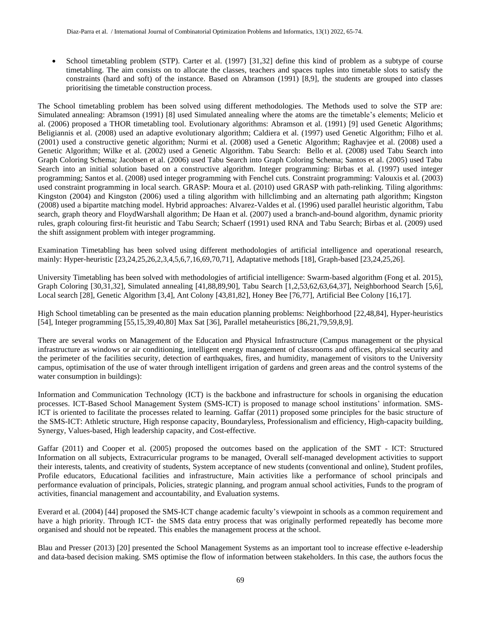• School timetabling problem (STP). Carter et al. (1997) [31,32] define this kind of problem as a subtype of course timetabling. The aim consists on to allocate the classes, teachers and spaces tuples into timetable slots to satisfy the constraints (hard and soft) of the instance. Based on Abramson (1991) [8,9], the students are grouped into classes prioritising the timetable construction process.

The School timetabling problem has been solved using different methodologies. The Methods used to solve the STP are: Simulated annealing: Abramson (1991) [8] used Simulated annealing where the atoms are the timetable's elements; Melicio et al. (2006) proposed a THOR timetabling tool. Evolutionary algorithms: Abramson et al. (1991) [9] used Genetic Algorithms; Beligiannis et al. (2008) used an adaptive evolutionary algorithm; Caldiera et al. (1997) used Genetic Algorithm; Filho et al. (2001) used a constructive genetic algorithm; Nurmi et al. (2008) used a Genetic Algorithm; Raghavjee et al. (2008) used a Genetic Algorithm; Wilke et al. (2002) used a Genetic Algorithm. Tabu Search: Bello et al. (2008) used Tabu Search into Graph Coloring Schema; Jacobsen et al. (2006) used Tabu Search into Graph Coloring Schema; Santos et al. (2005) used Tabu Search into an initial solution based on a constructive algorithm. Integer programming: Birbas et al. (1997) used integer programming; Santos et al. (2008) used integer programming with Fenchel cuts. Constraint programming: Valouxis et al. (2003) used constraint programming in local search. GRASP: Moura et al. (2010) used GRASP with path-relinking. Tiling algorithms: Kingston (2004) and Kingston (2006) used a tiling algorithm with hillclimbing and an alternating path algorithm; Kingston (2008) used a bipartite matching model. Hybrid approaches: Alvarez-Valdes et al. (1996) used parallel heuristic algorithm, Tabu search, graph theory and FloydWarshall algorithm; De Haan et al. (2007) used a branch-and-bound algorithm, dynamic priority rules, graph colouring first-fit heuristic and Tabu Search; Schaerf (1991) used RNA and Tabu Search; Birbas et al. (2009) used the shift assignment problem with integer programming.

Examination Timetabling has been solved using different methodologies of artificial intelligence and operational research, mainly: Hyper-heuristic [23,24,25,26,2,3,4,5,6,7,16,69,70,71], Adaptative methods [18], Graph-based [23,24,25,26].

University Timetabling has been solved with methodologies of artificial intelligence: Swarm-based algorithm (Fong et al. 2015), Graph Coloring [30,31,32], Simulated annealing [41,88,89,90], Tabu Search [1,2,53,62,63,64,37], Neighborhood Search [5,6], Local search [28], Genetic Algorithm [3,4], Ant Colony [43,81,82], Honey Bee [76,77], Artificial Bee Colony [16,17].

High School timetabling can be presented as the main education planning problems: Neighborhood [22,48,84], Hyper-heuristics [54], Integer programming [55,15,39,40,80] Max Sat [36], Parallel metaheuristics [86,21,79,59,8,9].

There are several works on Management of the Education and Physical Infrastructure (Campus management or the physical infrastructure as windows or air conditioning, intelligent energy management of classrooms and offices, physical security and the perimeter of the facilities security, detection of earthquakes, fires, and humidity, management of visitors to the University campus, optimisation of the use of water through intelligent irrigation of gardens and green areas and the control systems of the water consumption in buildings):

Information and Communication Technology (ICT) is the backbone and infrastructure for schools in organising the education processes. ICT-Based School Management System (SMS-ICT) is proposed to manage school institutions' information. SMS-ICT is oriented to facilitate the processes related to learning. Gaffar (2011) proposed some principles for the basic structure of the SMS-ICT: Athletic structure, High response capacity, Boundaryless, Professionalism and efficiency, High-capacity building, Synergy, Values-based, High leadership capacity, and Cost-effective.

Gaffar (2011) and Cooper et al. (2005) proposed the outcomes based on the application of the SMT - ICT: Structured Information on all subjects, Extracurricular programs to be managed, Overall self-managed development activities to support their interests, talents, and creativity of students, System acceptance of new students (conventional and online), Student profiles, Profile educators, Educational facilities and infrastructure, Main activities like a performance of school principals and performance evaluation of principals, Policies, strategic planning, and program annual school activities, Funds to the program of activities, financial management and accountability, and Evaluation systems.

Everard et al. (2004) [44] proposed the SMS-ICT change academic faculty's viewpoint in schools as a common requirement and have a high priority. Through ICT- the SMS data entry process that was originally performed repeatedly has become more organised and should not be repeated. This enables the management process at the school.

Blau and Presser (2013) [20] presented the School Management Systems as an important tool to increase effective e-leadership and data-based decision making. SMS optimise the flow of information between stakeholders. In this case, the authors focus the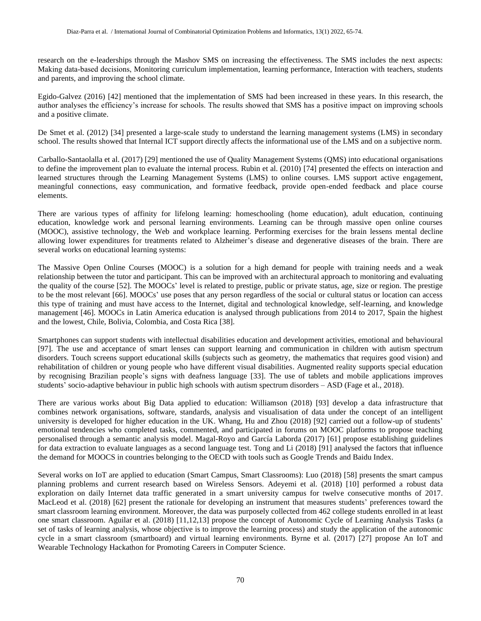research on the e-leaderships through the Mashov SMS on increasing the effectiveness. The SMS includes the next aspects: Making data-based decisions, Monitoring curriculum implementation, learning performance, Interaction with teachers, students and parents, and improving the school climate.

Egido-Galvez (2016) [42] mentioned that the implementation of SMS had been increased in these years. In this research, the author analyses the efficiency's increase for schools. The results showed that SMS has a positive impact on improving schools and a positive climate.

De Smet et al. (2012) [34] presented a large-scale study to understand the learning management systems (LMS) in secondary school. The results showed that Internal ICT support directly affects the informational use of the LMS and on a subjective norm.

Carballo-Santaolalla et al. (2017) [29] mentioned the use of Quality Management Systems (QMS) into educational organisations to define the improvement plan to evaluate the internal process. Rubin et al. (2010) [74] presented the effects on interaction and learned structures through the Learning Management Systems (LMS) to online courses. LMS support active engagement, meaningful connections, easy communication, and formative feedback, provide open-ended feedback and place course elements.

There are various types of affinity for lifelong learning: homeschooling (home education), adult education, continuing education, knowledge work and personal learning environments. Learning can be through massive open online courses (MOOC), assistive technology, the Web and workplace learning. Performing exercises for the brain lessens mental decline allowing lower expenditures for treatments related to Alzheimer's disease and degenerative diseases of the brain. There are several works on educational learning systems:

The Massive Open Online Courses (MOOC) is a solution for a high demand for people with training needs and a weak relationship between the tutor and participant. This can be improved with an architectural approach to monitoring and evaluating the quality of the course [52]. The MOOCs' level is related to prestige, public or private status, age, size or region. The prestige to be the most relevant [66]. MOOCs' use poses that any person regardless of the social or cultural status or location can access this type of training and must have access to the Internet, digital and technological knowledge, self-learning, and knowledge management [46]. MOOCs in Latin America education is analysed through publications from 2014 to 2017, Spain the highest and the lowest, Chile, Bolivia, Colombia, and Costa Rica [38].

Smartphones can support students with intellectual disabilities education and development activities, emotional and behavioural [97]. The use and acceptance of smart lenses can support learning and communication in children with autism spectrum disorders. Touch screens support educational skills (subjects such as geometry, the mathematics that requires good vision) and rehabilitation of children or young people who have different visual disabilities. Augmented reality supports special education by recognising Brazilian people's signs with deafness language [33]. The use of tablets and mobile applications improves students' socio-adaptive behaviour in public high schools with autism spectrum disorders – ASD (Fage et al., 2018).

There are various works about Big Data applied to education: Williamson (2018) [93] develop a data infrastructure that combines network organisations, software, standards, analysis and visualisation of data under the concept of an intelligent university is developed for higher education in the UK. Whang, Hu and Zhou (2018) [92] carried out a follow-up of students' emotional tendencies who completed tasks, commented, and participated in forums on MOOC platforms to propose teaching personalised through a semantic analysis model. Magal-Royo and García Laborda (2017) [61] propose establishing guidelines for data extraction to evaluate languages as a second language test. Tong and Li (2018) [91] analysed the factors that influence the demand for MOOCS in countries belonging to the OECD with tools such as Google Trends and Baidu Index.

Several works on IoT are applied to education (Smart Campus, Smart Classrooms): Luo (2018) [58] presents the smart campus planning problems and current research based on Wireless Sensors. Adeyemi et al. (2018) [10] performed a robust data exploration on daily Internet data traffic generated in a smart university campus for twelve consecutive months of 2017. MacLeod et al. (2018) [62] present the rationale for developing an instrument that measures students' preferences toward the smart classroom learning environment. Moreover, the data was purposely collected from 462 college students enrolled in at least one smart classroom. Aguilar et al. (2018) [11,12,13] propose the concept of Autonomic Cycle of Learning Analysis Tasks (a set of tasks of learning analysis, whose objective is to improve the learning process) and study the application of the autonomic cycle in a smart classroom (smartboard) and virtual learning environments. Byrne et al. (2017) [27] propose An IoT and Wearable Technology Hackathon for Promoting Careers in Computer Science.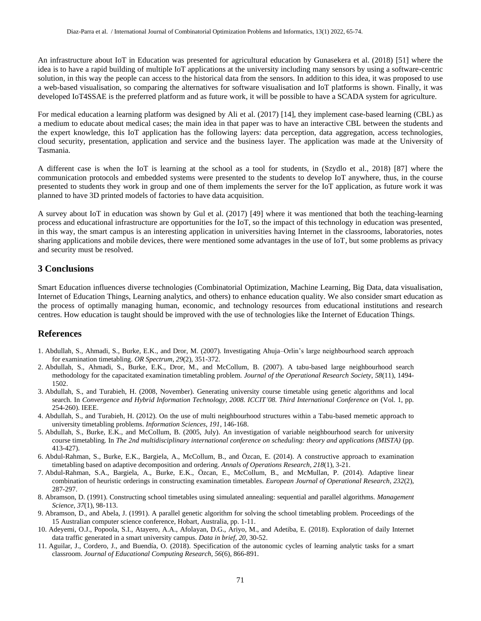An infrastructure about IoT in Education was presented for agricultural education by Gunasekera et al. (2018) [51] where the idea is to have a rapid building of multiple IoT applications at the university including many sensors by using a software-centric solution, in this way the people can access to the historical data from the sensors. In addition to this idea, it was proposed to use a web-based visualisation, so comparing the alternatives for software visualisation and IoT platforms is shown. Finally, it was developed IoT4SSAE is the preferred platform and as future work, it will be possible to have a SCADA system for agriculture.

For medical education a learning platform was designed by Ali et al. (2017) [14], they implement case-based learning (CBL) as a medium to educate about medical cases; the main idea in that paper was to have an interactive CBL between the students and the expert knowledge, this IoT application has the following layers: data perception, data aggregation, access technologies, cloud security, presentation, application and service and the business layer. The application was made at the University of Tasmania.

A different case is when the IoT is learning at the school as a tool for students, in (Szydlo et al., 2018) [87] where the communication protocols and embedded systems were presented to the students to develop IoT anywhere, thus, in the course presented to students they work in group and one of them implements the server for the IoT application, as future work it was planned to have 3D printed models of factories to have data acquisition.

A survey about IoT in education was shown by Gul et al. (2017) [49] where it was mentioned that both the teaching-learning process and educational infrastructure are opportunities for the IoT, so the impact of this technology in education was presented, in this way, the smart campus is an interesting application in universities having Internet in the classrooms, laboratories, notes sharing applications and mobile devices, there were mentioned some advantages in the use of IoT, but some problems as privacy and security must be resolved.

### **3 Conclusions**

Smart Education influences diverse technologies (Combinatorial Optimization, Machine Learning, Big Data, data visualisation, Internet of Education Things, Learning analytics, and others) to enhance education quality. We also consider smart education as the process of optimally managing human, economic, and technology resources from educational institutions and research centres. How education is taught should be improved with the use of technologies like the Internet of Education Things.

### **References**

- 1. Abdullah, S., Ahmadi, S., Burke, E.K., and Dror, M. (2007). Investigating Ahuja–Orlin's large neighbourhood search approach for examination timetabling. *OR Spectrum*, *29*(2), 351-372.
- 2. Abdullah, S., Ahmadi, S., Burke, E.K., Dror, M., and McCollum, B. (2007). A tabu-based large neighbourhood search methodology for the capacitated examination timetabling problem. *Journal of the Operational Research Society*, *58*(11), 1494- 1502.
- 3. Abdullah, S., and Turabieh, H. (2008, November). Generating university course timetable using genetic algorithms and local search. In *Convergence and Hybrid Information Technology, 2008. ICCIT'08. Third International Conference on* (Vol. 1, pp. 254-260). IEEE.
- 4. Abdullah, S., and Turabieh, H. (2012). On the use of multi neighbourhood structures within a Tabu-based memetic approach to university timetabling problems. *Information Sciences*, *191*, 146-168.
- 5. Abdullah, S., Burke, E.K., and McCollum, B. (2005, July). An investigation of variable neighbourhood search for university course timetabling. In *The 2nd multidisciplinary international conference on scheduling: theory and applications (MISTA)* (pp. 413-427).
- 6. Abdul-Rahman, S., Burke, E.K., Bargiela, A., McCollum, B., and Özcan, E. (2014). A constructive approach to examination timetabling based on adaptive decomposition and ordering. *Annals of Operations Research*, *218*(1), 3-21.
- 7. Abdul-Rahman, S.A., Bargiela, A., Burke, E.K., Özcan, E., McCollum, B., and McMullan, P. (2014). Adaptive linear combination of heuristic orderings in constructing examination timetables. *European Journal of Operational Research*, *232*(2), 287-297.
- 8. Abramson, D. (1991). Constructing school timetables using simulated annealing: sequential and parallel algorithms. *Management Science*, *37*(1), 98-113.
- 9. Abramson, D., and Abela, J. (1991). A parallel genetic algorithm for solving the school timetabling problem. Proceedings of the 15 Australian computer science conference, Hobart, Australia, pp. 1-11.
- 10. Adeyemi, O.J., Popoola, S.I., Atayero, A.A., Afolayan, D.G., Ariyo, M., and Adetiba, E. (2018). Exploration of daily Internet data traffic generated in a smart university campus. *Data in brief*, *20*, 30-52.
- 11. Aguilar, J., Cordero, J., and Buendía, O. (2018). Specification of the autonomic cycles of learning analytic tasks for a smart classroom. *Journal of Educational Computing Research*, *56*(6), 866-891.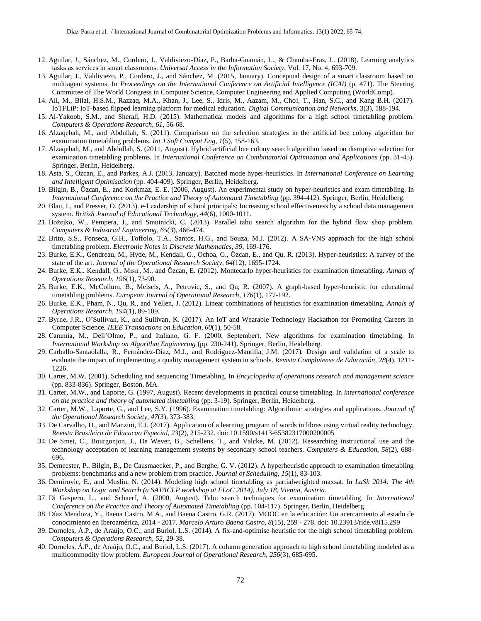- 12. Aguilar, J., Sánchez, M., Cordero, J., Valdiviezo-Díaz, P., Barba-Guamán, L., & Chamba-Eras, L. (2018). Learning analytics tasks as services in smart classrooms. *Universal Access in the Information Society*, Vol. 17, No. 4, 693-709.
- 13. Aguilar, J., Valdiviezo, P., Cordero, J., and Sánchez, M. (2015, January). Conceptual design of a smart classroom based on multiagent systems. In *Proceedings on the International Conference on Artificial Intelligence (ICAI)* (p. 471). The Steering Committee of The World Congress in Computer Science, Computer Engineering and Applied Computing (WorldComp).
- 14. Ali, M., Bilal, H.S.M., Razzaq, M.A., Khan, J., Lee, S., Idris, M., Aazam, M., Choi, T., Han, S.C., and Kang B.H. (2017). IoTFLiP: IoT-based flipped learning platform for medical education. *Digital Communication and Networks*, 3(3), 188-194.
- 15. Al-Yakoob, S.M., and Sherali, H.D. (2015). Mathematical models and algorithms for a high school timetabling problem. *Computers & Operations Research*, *61*, 56-68.
- 16. Alzaqebah, M., and Abdullah, S. (2011). Comparison on the selection strategies in the artificial bee colony algorithm for examination timetabling problems. *Int J Soft Comput Eng*, *1*(5), 158-163.
- 17. Alzaqebah, M., and Abdullah, S. (2011, August). Hybrid artificial bee colony search algorithm based on disruptive selection for examination timetabling problems. In *International Conference on Combinatorial Optimization and Applications* (pp. 31-45). Springer, Berlin, Heidelberg.
- 18. Asta, S., Özcan, E., and Parkes, A.J. (2013, January). Batched mode hyper-heuristics. In *International Conference on Learning and Intelligent Optimisation* (pp. 404-409). Springer, Berlin, Heidelberg.
- 19. Bilgin, B., Özcan, E., and Korkmaz, E. E. (2006, August). An experimental study on hyper-heuristics and exam timetabling. In *International Conference on the Practice and Theory of Automated Timetabling* (pp. 394-412). Springer, Berlin, Heidelberg.
- 20. Blau, I., and Presser, O. (2013). e‐Leadership of school principals: Increasing school effectiveness by a school data management system. *British Journal of Educational Technology*, *44*(6), 1000-1011.
- 21. Bożejko, W., Pempera, J., and Smutnicki, C. (2013). Parallel tabu search algorithm for the hybrid flow shop problem. *Computers & Industrial Engineering*, *65*(3), 466-474.
- 22. Brito, S.S., Fonseca, G.H., Toffolo, T.A., Santos, H.G., and Souza, M.J. (2012). A SA-VNS approach for the high school timetabling problem. *Electronic Notes in Discrete Mathematics*, *39*, 169-176.
- 23. Burke, E.K., Gendreau, M., Hyde, M., Kendall, G., Ochoa, G., Özcan, E., and Qu, R. (2013). Hyper-heuristics: A survey of the state of the art. *Journal of the Operational Research Society*, *64*(12), 1695-1724.
- 24. Burke, E.K., Kendall, G., Mısır, M., and Özcan, E. (2012). Montecarlo hyper-heuristics for examination timetabling. *Annals of Operations Research*, *196*(1), 73-90.
- 25. Burke, E.K., McCollum, B., Meisels, A., Petrovic, S., and Qu, R. (2007). A graph-based hyper-heuristic for educational timetabling problems. *European Journal of Operational Research*, *176*(1), 177-192.
- 26. Burke, E.K., Pham, N., Qu, R., and Yellen, J. (2012). Linear combinations of heuristics for examination timetabling. *Annals of Operations Research*, *194*(1), 89-109.
- 27. Byrne, J.R., O'Sullivan, K., and Sullivan, K. (2017). An IoT and Wearable Technology Hackathon for Promoting Careers in Computer Science. *IEEE Transactions on Education*, *60*(1), 50-58.
- 28. Caramia, M., Dell'Olmo, P., and Italiano, G. F. (2000, September). New algorithms for examination timetabling. In *International Workshop on Algorithm Engineering* (pp. 230-241). Springer, Berlin, Heidelberg.
- 29. Carballo-Santaolalla, R., Fernández-Díaz, M.J., and Rodríguez-Mantilla, J.M. (2017). Design and validation of a scale to evaluate the impact of implementing a quality management system in schools. *Revista Complutense de Educación*, *28*(4), 1211- 1226.
- 30. Carter, M.W. (2001). Scheduling and sequencing Timetabling. In *Encyclopedia of operations research and management science* (pp. 833-836). Springer, Boston, MA.
- 31. Carter, M.W., and Laporte, G. (1997, August). Recent developments in practical course timetabling. In *international conference on the practice and theory of automated timetabling* (pp. 3-19). Springer, Berlin, Heidelberg.
- 32. Carter, M.W., Laporte, G., and Lee, S.Y. (1996). Examination timetabling: Algorithmic strategies and applications. *Journal of the Operational Research Society*, *47*(3), 373-383.
- 33. De Carvalho, D., and Manzini, E.J. (2017). Application of a learning program of words in libras using virtual reality technology. *Revista Brasileira de Educacao Especial, 23*(2), 215-232. doi: 10.1590/s1413-65382317000200005
- 34. De Smet, C., Bourgonjon, J., De Wever, B., Schellens, T., and Valcke, M. (2012). Researching instructional use and the technology acceptation of learning management systems by secondary school teachers. *Computers & Education*, *58*(2), 688- 696.
- 35. Demeester, P., Bilgin, B., De Causmaecker, P., and Berghe, G. V. (2012). A hyperheuristic approach to examination timetabling problems: benchmarks and a new problem from practice. *Journal of Scheduling*, *15*(1), 83-103.
- 36. Demirovic, E., and Musliu, N. (2014). Modeling high school timetabling as partialweighted maxsat. In *LaSh 2014: The 4th Workshop on Logic and Search (a SAT/ICLP workshop at FLoC 2014), July 18, Vienna, Austria*.
- 37. Di Gaspero, L., and Schaerf, A. (2000, August). Tabu search techniques for examination timetabling. In *International Conference on the Practice and Theory of Automated Timetabling* (pp. 104-117). Springer, Berlin, Heidelberg.
- 38. Díaz Mendoza, Y., Baena Castro, M.A., and Baena Castro, G.R. (2017). MOOC en la educación: Un acercamiento al estado de conocimiento en Iberoamérica, 2014 - 2017. *Marcelo Arturo Baena Castro, 8*(15), 259 - 278. doi: 10.23913/ride.v8i15.299
- 39. Dorneles, Á.P., de Araújo, O.C., and Buriol, L.S. (2014). A fix-and-optimise heuristic for the high school timetabling problem. *Computers & Operations Research*, *52*, 29-38.
- 40. Dorneles, Á.P., de Araújo, O.C., and Buriol, L.S. (2017). A column generation approach to high school timetabling modeled as a multicommodity flow problem. *European Journal of Operational Research*, *256*(3), 685-695.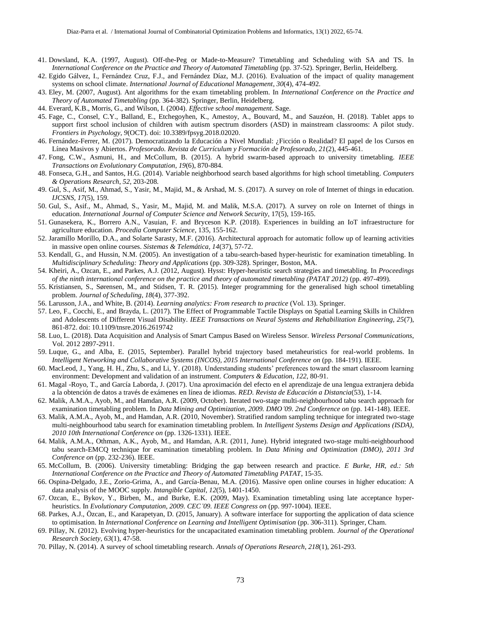- 41. Dowsland, K.A. (1997, August). Off-the-Peg or Made-to-Measure? Timetabling and Scheduling with SA and TS. In *International Conference on the Practice and Theory of Automated Timetabling* (pp. 37-52). Springer, Berlin, Heidelberg.
- 42. Egido Gálvez, I., Fernández Cruz, F.J., and Fernández Díaz, M.J. (2016). Evaluation of the impact of quality management systems on school climate. *International Journal of Educational Management*, *30*(4), 474-492.
- 43. Eley, M. (2007, August). Ant algorithms for the exam timetabling problem. In *International Conference on the Practice and Theory of Automated Timetabling* (pp. 364-382). Springer, Berlin, Heidelberg.
- 44. Everard, K.B., Morris, G., and Wilson, I. (2004). *Effective school management*. Sage.
- 45. Fage, C., Consel, C.Y., Balland, E., Etchegoyhen, K., Amestoy, A., Bouvard, M., and Sauzéon, H. (2018). Tablet apps to support first school inclusion of children with autism spectrum disorders (ASD) in mainstream classrooms: A pilot study. *Frontiers in Psychology, 9*(OCT). doi: 10.3389/fpsyg.2018.02020.
- 46. Fernández-Ferrer, M. (2017). Democratizando la Educación a Nivel Mundial: ¿Ficción o Realidad? El papel de los Cursos en Línea Masivos y Abiertos. *Profesorado. Revista de Currículum y Formación de Profesorado, 21*(2), 445-461.
- 47. Fong, C.W., Asmuni, H., and McCollum, B. (2015). A hybrid swarm-based approach to university timetabling. *IEEE Transactions on Evolutionary Computation*, *19*(6), 870-884.
- 48. Fonseca, G.H., and Santos, H.G. (2014). Variable neighborhood search based algorithms for high school timetabling. *Computers & Operations Research*, *52*, 203-208.
- 49. Gul, S., Asif, M., Ahmad, S., Yasir, M., Majid, M., & Arshad, M. S. (2017). A survey on role of Internet of things in education. *IJCSNS*, *17*(5), 159.
- 50. Gul, S., Asif., M., Ahmad, S., Yasir, M., Majid, M. and Malik, M.S.A. (2017). A survey on role on Internet of things in education. *International Journal of Computer Science and Network Security*, 17(5), 159-165.
- 51. Gunasekera, K., Borrero A.N., Vasuian, F. and Bryceson K.P. (2018). Experiences in building an IoT infraestructure for agriculture education. *Procedia Computer Science*, 135, 155-162.
- 52. Jaramillo Morillo, D.A., and Solarte Sarasty, M.F. (2016). Architectural approach for automatic follow up of learning activities in massive open online courses. *Sistemas & Telemática, 14*(37), 57-72.
- 53. Kendall, G., and Hussin, N.M. (2005). An investigation of a tabu-search-based hyper-heuristic for examination timetabling. In *Multidisciplinary Scheduling: Theory and Applications* (pp. 309-328). Springer, Boston, MA.
- 54. Kheiri, A., Ozcan, E., and Parkes, A.J. (2012, August). Hysst: Hyper-heuristic search strategies and timetabling. In *Proceedings of the ninth international conference on the practice and theory of automated timetabling (PATAT 2012)* (pp. 497-499).
- 55. Kristiansen, S., Sørensen, M., and Stidsen, T. R. (2015). Integer programming for the generalised high school timetabling problem. *Journal of Scheduling*, *18*(4), 377-392.
- 56. Larusson, J.A., and White, B. (2014). *Learning analytics: From research to practice* (Vol. 13). Springer.
- 57. Leo, F., Cocchi, E., and Brayda, L. (2017). The Effect of Programmable Tactile Displays on Spatial Learning Skills in Children and Adolescents of Different Visual Disability. *IEEE Transactions on Neural Systems and Rehabilitation Engineering, 25*(7), 861-872. doi: 10.1109/tnsre.2016.2619742
- 58. Luo, L. (2018). Data Acquisition and Analysis of Smart Campus Based on Wireless Sensor. *Wireless Personal Communications*, Vol. 2012 2897-2911.
- 59. Luque, G., and Alba, E. (2015, September). Parallel hybrid trajectory based metaheuristics for real-world problems. In *Intelligent Networking and Collaborative Systems (INCOS), 2015 International Conference on* (pp. 184-191). IEEE.
- 60. MacLeod, J., Yang, H. H., Zhu, S., and Li, Y. (2018). Understanding students' preferences toward the smart classroom learning environment: Development and validation of an instrument. *Computers & Education*, *122*, 80-91.
- 61. Magal -Royo, T., and García Laborda, J. (2017). Una aproximación del efecto en el aprendizaje de una lengua extranjera debida a la obtención de datos a través de exámenes en línea de idiomas. *RED. Revista de Educación a Distancia*(53), 1-14.
- 62. Malik, A.M.A., Ayob, M., and Hamdan, A.R. (2009, October). Iterated two-stage multi-neighbourhood tabu search approach for examination timetabling problem. In *Data Mining and Optimization, 2009. DMO'09. 2nd Conference on* (pp. 141-148). IEEE.
- 63. Malik, A.M.A., Ayob, M., and Hamdan, A.R. (2010, November). Stratified random sampling technique for integrated two-stage multi-neighbourhood tabu search for examination timetabling problem. In *Intelligent Systems Design and Applications (ISDA), 2010 10th International Conference on* (pp. 1326-1331). IEEE.
- 64. Malik, A.M.A., Othman, A.K., Ayob, M., and Hamdan, A.R. (2011, June). Hybrid integrated two-stage multi-neighbourhood tabu search-EMCQ technique for examination timetabling problem. In *Data Mining and Optimization (DMO), 2011 3rd Conference on* (pp. 232-236). IEEE.
- 65. McCollum, B. (2006). University timetabling: Bridging the gap between research and practice. *E Burke, HR, ed.: 5th International Conference on the Practice and Theory of Automated Timetabling PATAT*, 15-35.
- 66. Ospina-Delgado, J.E., Zorio-Grima, A., and García-Benau, M.A. (2016). Massive open online courses in higher education: A data analysis of the MOOC supply. *Intangible Capital, 12*(5), 1401-1450.
- 67. Ozcan, E., Bykov, Y., Birben, M., and Burke, E.K. (2009, May). Examination timetabling using late acceptance hyperheuristics. In *Evolutionary Computation, 2009. CEC'09. IEEE Congress on* (pp. 997-1004). IEEE.
- 68. Parkes, A.J., Özcan, E., and Karapetyan, D. (2015, January). A software interface for supporting the application of data science to optimisation. In *International Conference on Learning and Intelligent Optimisation* (pp. 306-311). Springer, Cham.
- 69. Pillay, N. (2012). Evolving hyper-heuristics for the uncapacitated examination timetabling problem. *Journal of the Operational Research Society*, *63*(1), 47-58.
- 70. Pillay, N. (2014). A survey of school timetabling research. *Annals of Operations Research*, *218*(1), 261-293.